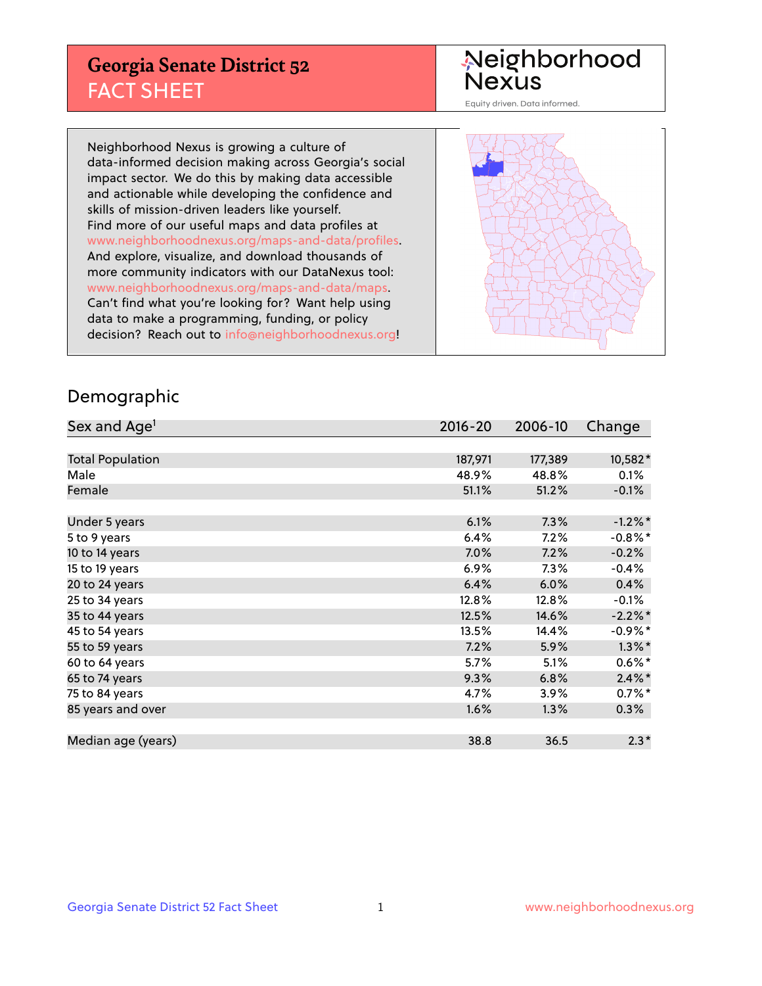## **Georgia Senate District 52** FACT SHEET

# Neighborhood<br>Nexus

Equity driven. Data informed.

Neighborhood Nexus is growing a culture of data-informed decision making across Georgia's social impact sector. We do this by making data accessible and actionable while developing the confidence and skills of mission-driven leaders like yourself. Find more of our useful maps and data profiles at www.neighborhoodnexus.org/maps-and-data/profiles. And explore, visualize, and download thousands of more community indicators with our DataNexus tool: www.neighborhoodnexus.org/maps-and-data/maps. Can't find what you're looking for? Want help using data to make a programming, funding, or policy decision? Reach out to [info@neighborhoodnexus.org!](mailto:info@neighborhoodnexus.org)



### Demographic

| Sex and Age <sup>1</sup> | $2016 - 20$ | 2006-10 | Change     |
|--------------------------|-------------|---------|------------|
|                          |             |         |            |
| <b>Total Population</b>  | 187,971     | 177,389 | 10,582*    |
| Male                     | 48.9%       | 48.8%   | 0.1%       |
| Female                   | 51.1%       | 51.2%   | $-0.1\%$   |
|                          |             |         |            |
| Under 5 years            | 6.1%        | 7.3%    | $-1.2\%$ * |
| 5 to 9 years             | 6.4%        | 7.2%    | $-0.8\%$ * |
| 10 to 14 years           | 7.0%        | 7.2%    | $-0.2%$    |
| 15 to 19 years           | 6.9%        | 7.3%    | $-0.4%$    |
| 20 to 24 years           | 6.4%        | 6.0%    | 0.4%       |
| 25 to 34 years           | 12.8%       | 12.8%   | $-0.1\%$   |
| 35 to 44 years           | 12.5%       | 14.6%   | $-2.2%$ *  |
| 45 to 54 years           | 13.5%       | 14.4%   | $-0.9%$ *  |
| 55 to 59 years           | 7.2%        | 5.9%    | $1.3\%$ *  |
| 60 to 64 years           | 5.7%        | 5.1%    | $0.6\%$ *  |
| 65 to 74 years           | 9.3%        | 6.8%    | $2.4\%$ *  |
| 75 to 84 years           | 4.7%        | 3.9%    | $0.7%$ *   |
| 85 years and over        | 1.6%        | 1.3%    | 0.3%       |
|                          |             |         |            |
| Median age (years)       | 38.8        | 36.5    | $2.3*$     |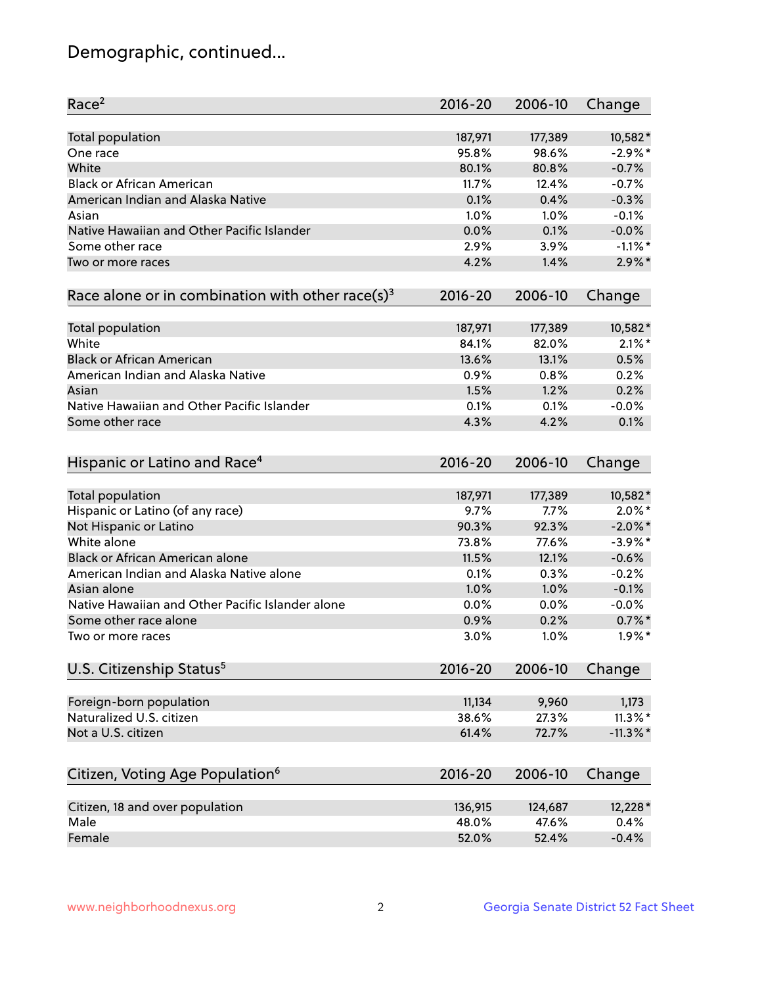## Demographic, continued...

| Race <sup>2</sup>                                            | $2016 - 20$ | 2006-10 | Change      |
|--------------------------------------------------------------|-------------|---------|-------------|
| <b>Total population</b>                                      | 187,971     | 177,389 | 10,582*     |
| One race                                                     | 95.8%       | 98.6%   | $-2.9\%$ *  |
| White                                                        | 80.1%       | 80.8%   | $-0.7%$     |
| <b>Black or African American</b>                             | 11.7%       | 12.4%   | $-0.7%$     |
| American Indian and Alaska Native                            | 0.1%        | 0.4%    | $-0.3%$     |
| Asian                                                        | 1.0%        | 1.0%    | $-0.1%$     |
| Native Hawaiian and Other Pacific Islander                   | 0.0%        | 0.1%    | $-0.0%$     |
| Some other race                                              | 2.9%        | 3.9%    | $-1.1\%$ *  |
| Two or more races                                            | 4.2%        | 1.4%    | $2.9\%$ *   |
| Race alone or in combination with other race(s) <sup>3</sup> | $2016 - 20$ | 2006-10 | Change      |
| Total population                                             | 187,971     | 177,389 | 10,582*     |
| White                                                        | 84.1%       | 82.0%   | $2.1\%$ *   |
| <b>Black or African American</b>                             | 13.6%       | 13.1%   | 0.5%        |
| American Indian and Alaska Native                            | 0.9%        | 0.8%    | 0.2%        |
| Asian                                                        | 1.5%        | 1.2%    | 0.2%        |
| Native Hawaiian and Other Pacific Islander                   | 0.1%        | 0.1%    | $-0.0%$     |
| Some other race                                              | 4.3%        | 4.2%    | 0.1%        |
| Hispanic or Latino and Race <sup>4</sup>                     | $2016 - 20$ | 2006-10 | Change      |
| <b>Total population</b>                                      | 187,971     | 177,389 | 10,582*     |
| Hispanic or Latino (of any race)                             | 9.7%        | 7.7%    | $2.0\%$ *   |
| Not Hispanic or Latino                                       | 90.3%       | 92.3%   | $-2.0\%$ *  |
| White alone                                                  | 73.8%       | 77.6%   | $-3.9\%$ *  |
| Black or African American alone                              | 11.5%       | 12.1%   | $-0.6%$     |
| American Indian and Alaska Native alone                      | 0.1%        | 0.3%    | $-0.2%$     |
| Asian alone                                                  | 1.0%        | 1.0%    | $-0.1%$     |
| Native Hawaiian and Other Pacific Islander alone             | 0.0%        | 0.0%    | $-0.0%$     |
| Some other race alone                                        | 0.9%        | 0.2%    | $0.7%$ *    |
| Two or more races                                            | 3.0%        | 1.0%    | $1.9\%$ *   |
| U.S. Citizenship Status <sup>5</sup>                         | $2016 - 20$ | 2006-10 | Change      |
| Foreign-born population                                      | 11,134      | 9,960   | 1,173       |
| Naturalized U.S. citizen                                     | 38.6%       | 27.3%   | $11.3\%$ *  |
| Not a U.S. citizen                                           | 61.4%       | 72.7%   | $-11.3\%$ * |
|                                                              |             |         |             |
| Citizen, Voting Age Population <sup>6</sup>                  | 2016-20     | 2006-10 | Change      |
| Citizen, 18 and over population                              | 136,915     | 124,687 | 12,228 *    |
| Male                                                         | 48.0%       | 47.6%   | 0.4%        |
| Female                                                       | 52.0%       | 52.4%   | $-0.4%$     |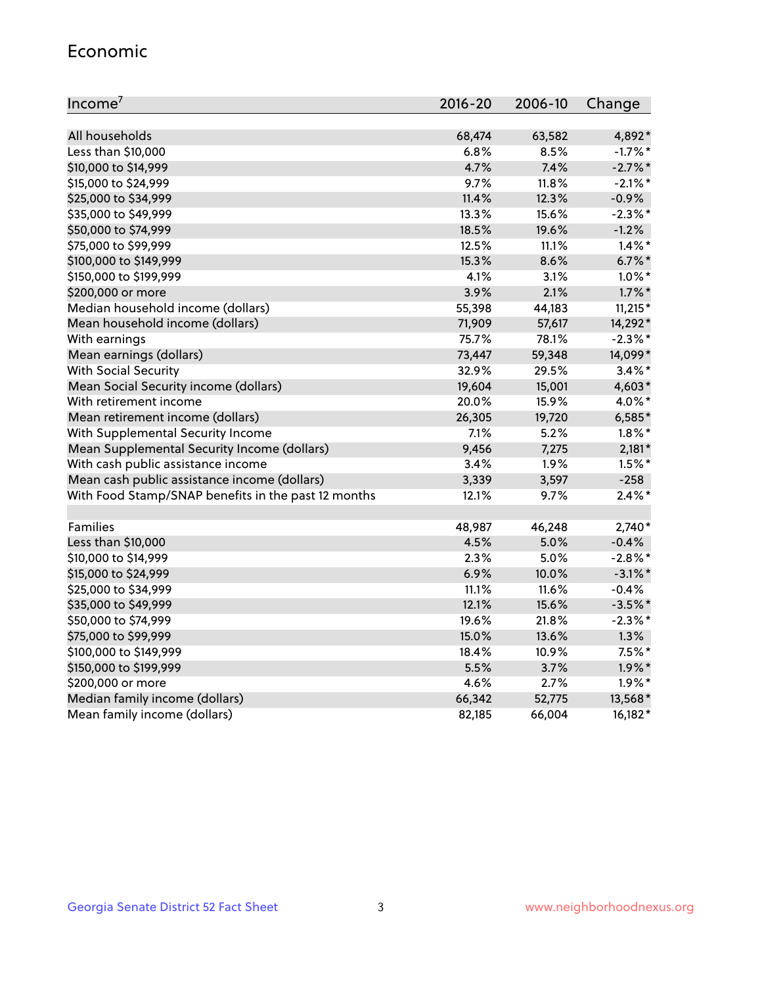#### Economic

| Income <sup>7</sup>                                 | $2016 - 20$ | 2006-10 | Change     |
|-----------------------------------------------------|-------------|---------|------------|
|                                                     |             |         |            |
| All households                                      | 68,474      | 63,582  | 4,892*     |
| Less than \$10,000                                  | 6.8%        | 8.5%    | $-1.7%$ *  |
| \$10,000 to \$14,999                                | 4.7%        | 7.4%    | $-2.7\%$ * |
| \$15,000 to \$24,999                                | 9.7%        | 11.8%   | $-2.1\%$ * |
| \$25,000 to \$34,999                                | 11.4%       | 12.3%   | $-0.9%$    |
| \$35,000 to \$49,999                                | 13.3%       | 15.6%   | $-2.3\%$ * |
| \$50,000 to \$74,999                                | 18.5%       | 19.6%   | $-1.2%$    |
| \$75,000 to \$99,999                                | 12.5%       | 11.1%   | $1.4\%$ *  |
| \$100,000 to \$149,999                              | 15.3%       | 8.6%    | $6.7\%$ *  |
| \$150,000 to \$199,999                              | 4.1%        | 3.1%    | $1.0\%$ *  |
| \$200,000 or more                                   | 3.9%        | 2.1%    | $1.7\%$ *  |
| Median household income (dollars)                   | 55,398      | 44,183  | $11,215*$  |
| Mean household income (dollars)                     | 71,909      | 57,617  | 14,292*    |
| With earnings                                       | 75.7%       | 78.1%   | $-2.3\%$ * |
| Mean earnings (dollars)                             | 73,447      | 59,348  | 14,099*    |
| <b>With Social Security</b>                         | 32.9%       | 29.5%   | $3.4\%$ *  |
| Mean Social Security income (dollars)               | 19,604      | 15,001  | 4,603*     |
| With retirement income                              | 20.0%       | 15.9%   | 4.0%*      |
| Mean retirement income (dollars)                    | 26,305      | 19,720  | $6,585*$   |
| With Supplemental Security Income                   | 7.1%        | 5.2%    | $1.8\%$ *  |
| Mean Supplemental Security Income (dollars)         | 9,456       | 7,275   | $2,181*$   |
| With cash public assistance income                  | 3.4%        | 1.9%    | $1.5\%$ *  |
| Mean cash public assistance income (dollars)        | 3,339       | 3,597   | $-258$     |
| With Food Stamp/SNAP benefits in the past 12 months | 12.1%       | 9.7%    | $2.4\%$ *  |
|                                                     |             |         |            |
| Families                                            | 48,987      | 46,248  | $2,740*$   |
| Less than \$10,000                                  | 4.5%        | 5.0%    | $-0.4%$    |
| \$10,000 to \$14,999                                | 2.3%        | 5.0%    | $-2.8\%$ * |
| \$15,000 to \$24,999                                | 6.9%        | 10.0%   | $-3.1\%$ * |
| \$25,000 to \$34,999                                | 11.1%       | 11.6%   | $-0.4%$    |
| \$35,000 to \$49,999                                | 12.1%       | 15.6%   | $-3.5%$ *  |
| \$50,000 to \$74,999                                | 19.6%       | 21.8%   | $-2.3\%$ * |
| \$75,000 to \$99,999                                | 15.0%       | 13.6%   | 1.3%       |
| \$100,000 to \$149,999                              | 18.4%       | 10.9%   | $7.5%$ *   |
| \$150,000 to \$199,999                              | 5.5%        | 3.7%    | $1.9\%$ *  |
| \$200,000 or more                                   | 4.6%        | 2.7%    | $1.9\%$ *  |
| Median family income (dollars)                      | 66,342      | 52,775  | 13,568*    |
| Mean family income (dollars)                        | 82,185      | 66,004  | 16,182*    |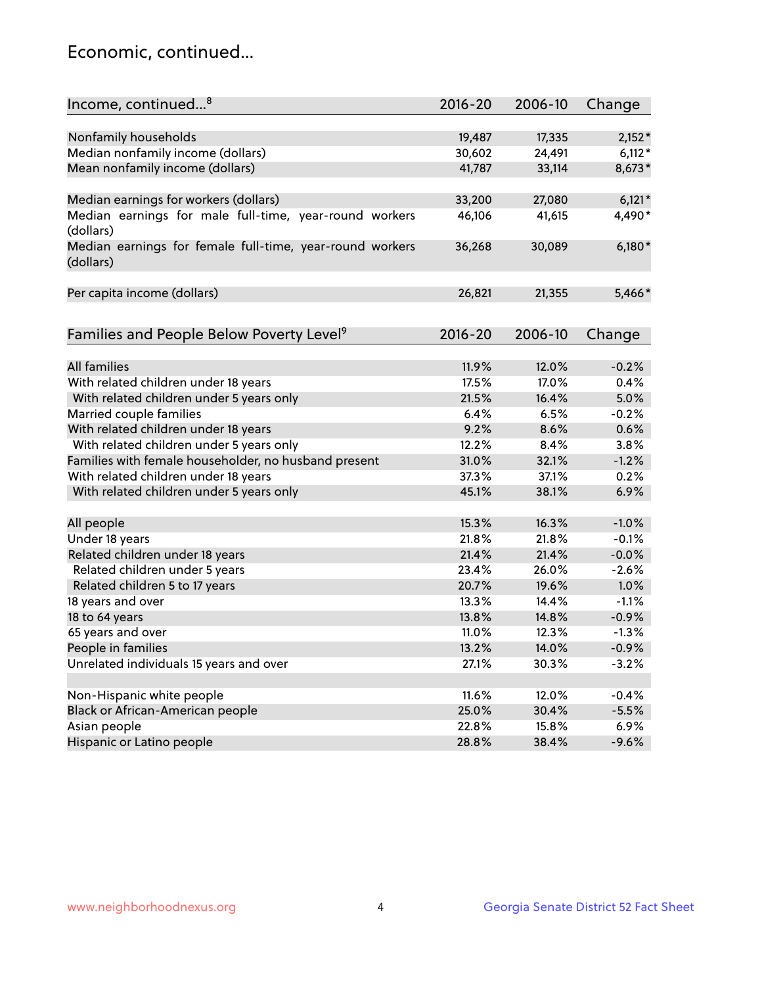## Economic, continued...

| Income, continued <sup>8</sup>                                        | $2016 - 20$ | 2006-10 | Change   |
|-----------------------------------------------------------------------|-------------|---------|----------|
|                                                                       |             |         |          |
| Nonfamily households                                                  | 19,487      | 17,335  | $2,152*$ |
| Median nonfamily income (dollars)                                     | 30,602      | 24,491  | $6,112*$ |
| Mean nonfamily income (dollars)                                       | 41,787      | 33,114  | 8,673*   |
| Median earnings for workers (dollars)                                 | 33,200      | 27,080  | $6,121*$ |
| Median earnings for male full-time, year-round workers                | 46,106      | 41,615  | 4,490*   |
| (dollars)                                                             |             |         |          |
| Median earnings for female full-time, year-round workers<br>(dollars) | 36,268      | 30,089  | $6,180*$ |
| Per capita income (dollars)                                           | 26,821      | 21,355  | 5,466*   |
|                                                                       |             |         |          |
| Families and People Below Poverty Level <sup>9</sup>                  | 2016-20     | 2006-10 | Change   |
|                                                                       |             |         |          |
| <b>All families</b>                                                   | 11.9%       | 12.0%   | $-0.2%$  |
| With related children under 18 years                                  | 17.5%       | 17.0%   | 0.4%     |
| With related children under 5 years only                              | 21.5%       | 16.4%   | 5.0%     |
| Married couple families                                               | 6.4%        | 6.5%    | $-0.2%$  |
| With related children under 18 years                                  | 9.2%        | 8.6%    | 0.6%     |
| With related children under 5 years only                              | 12.2%       | 8.4%    | 3.8%     |
| Families with female householder, no husband present                  | 31.0%       | 32.1%   | $-1.2%$  |
| With related children under 18 years                                  | 37.3%       | 37.1%   | 0.2%     |
| With related children under 5 years only                              | 45.1%       | 38.1%   | 6.9%     |
|                                                                       |             |         |          |
| All people                                                            | 15.3%       | 16.3%   | $-1.0%$  |
| Under 18 years                                                        | 21.8%       | 21.8%   | $-0.1%$  |
| Related children under 18 years                                       | 21.4%       | 21.4%   | $-0.0%$  |
| Related children under 5 years                                        | 23.4%       | 26.0%   | $-2.6%$  |
| Related children 5 to 17 years                                        | 20.7%       | 19.6%   | 1.0%     |
| 18 years and over                                                     | 13.3%       | 14.4%   | $-1.1%$  |
| 18 to 64 years                                                        | 13.8%       | 14.8%   | $-0.9%$  |
| 65 years and over                                                     | 11.0%       | 12.3%   | $-1.3%$  |
| People in families                                                    | 13.2%       | 14.0%   | $-0.9%$  |
| Unrelated individuals 15 years and over                               | 27.1%       | 30.3%   | $-3.2%$  |
|                                                                       |             |         |          |
| Non-Hispanic white people                                             | 11.6%       | 12.0%   | $-0.4%$  |
| Black or African-American people                                      | 25.0%       | 30.4%   | $-5.5%$  |
| Asian people                                                          | 22.8%       | 15.8%   | 6.9%     |
| Hispanic or Latino people                                             | 28.8%       | 38.4%   | $-9.6%$  |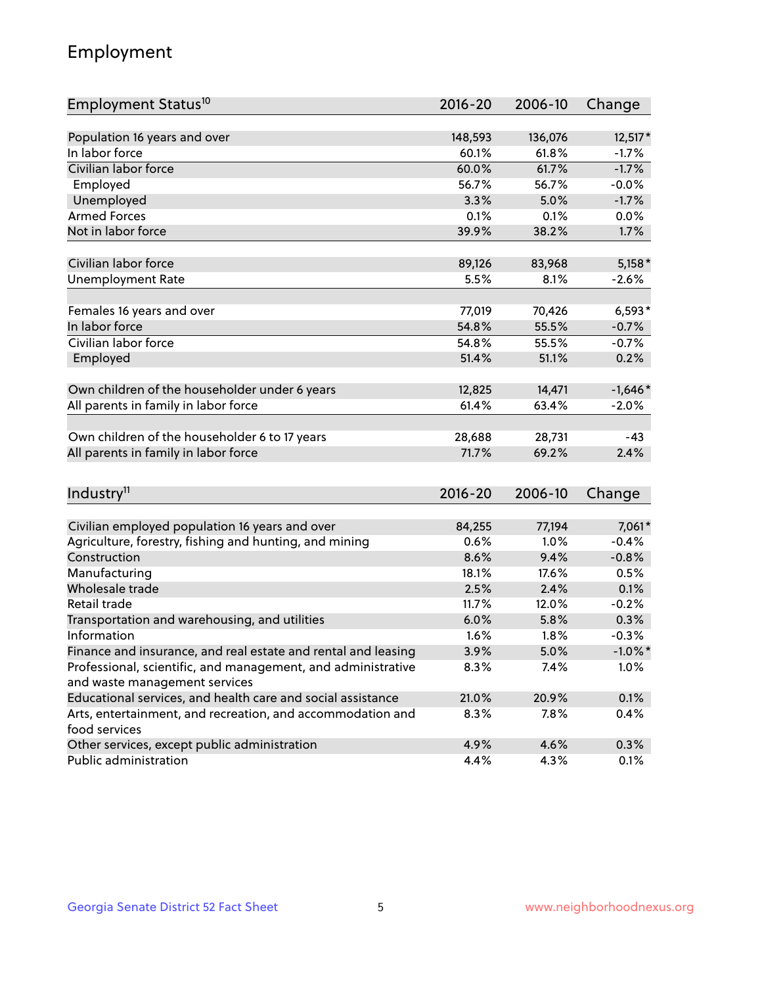## Employment

| Employment Status <sup>10</sup>                               | $2016 - 20$ | 2006-10 | Change     |
|---------------------------------------------------------------|-------------|---------|------------|
|                                                               |             |         |            |
| Population 16 years and over                                  | 148,593     | 136,076 | $12,517*$  |
| In labor force                                                | 60.1%       | 61.8%   | $-1.7%$    |
| Civilian labor force                                          | 60.0%       | 61.7%   | $-1.7%$    |
| Employed                                                      | 56.7%       | 56.7%   | $-0.0%$    |
| Unemployed                                                    | 3.3%        | 5.0%    | $-1.7%$    |
| <b>Armed Forces</b>                                           | 0.1%        | 0.1%    | 0.0%       |
| Not in labor force                                            | 39.9%       | 38.2%   | 1.7%       |
|                                                               |             |         |            |
| Civilian labor force                                          | 89,126      | 83,968  | $5,158*$   |
| <b>Unemployment Rate</b>                                      | 5.5%        | 8.1%    | $-2.6%$    |
| Females 16 years and over                                     | 77,019      | 70,426  | $6,593*$   |
| In labor force                                                | 54.8%       | 55.5%   | $-0.7%$    |
| Civilian labor force                                          | 54.8%       | 55.5%   | $-0.7%$    |
| Employed                                                      | 51.4%       | 51.1%   | 0.2%       |
|                                                               |             |         |            |
| Own children of the householder under 6 years                 | 12,825      | 14,471  | $-1,646*$  |
| All parents in family in labor force                          | 61.4%       | 63.4%   | $-2.0%$    |
|                                                               |             |         |            |
| Own children of the householder 6 to 17 years                 | 28,688      | 28,731  | $-43$      |
| All parents in family in labor force                          | 71.7%       | 69.2%   | 2.4%       |
|                                                               |             |         |            |
| Industry <sup>11</sup>                                        | $2016 - 20$ | 2006-10 | Change     |
| Civilian employed population 16 years and over                | 84,255      | 77,194  | 7,061*     |
| Agriculture, forestry, fishing and hunting, and mining        | 0.6%        | 1.0%    | $-0.4%$    |
| Construction                                                  | 8.6%        | 9.4%    | $-0.8%$    |
| Manufacturing                                                 | 18.1%       | 17.6%   | 0.5%       |
| Wholesale trade                                               | 2.5%        | 2.4%    | 0.1%       |
| Retail trade                                                  | 11.7%       | 12.0%   | $-0.2%$    |
| Transportation and warehousing, and utilities                 | 6.0%        | 5.8%    | 0.3%       |
| Information                                                   | 1.6%        | 1.8%    | $-0.3%$    |
| Finance and insurance, and real estate and rental and leasing | 3.9%        | 5.0%    | $-1.0\%$ * |
| Professional, scientific, and management, and administrative  | 8.3%        | 7.4%    | 1.0%       |
| and waste management services                                 |             |         |            |
| Educational services, and health care and social assistance   | 21.0%       | 20.9%   | 0.1%       |
| Arts, entertainment, and recreation, and accommodation and    | 8.3%        | 7.8%    | 0.4%       |
| food services                                                 |             |         |            |
| Other services, except public administration                  | 4.9%        | 4.6%    | 0.3%       |
| Public administration                                         | 4.4%        | 4.3%    | 0.1%       |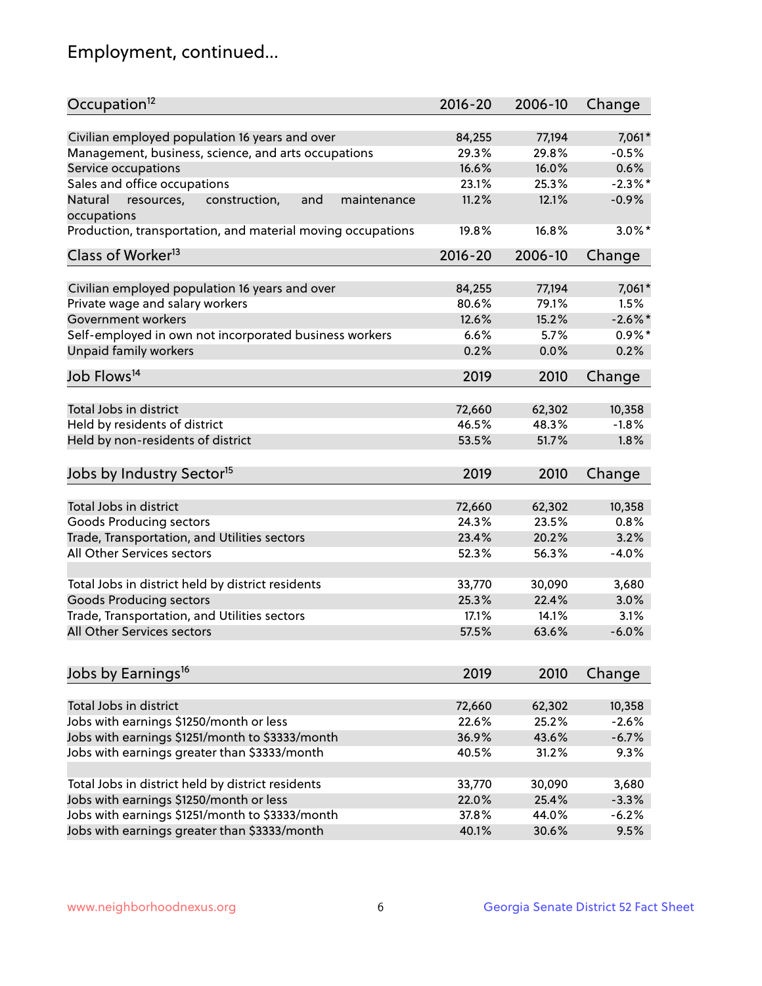## Employment, continued...

| Occupation <sup>12</sup>                                     | $2016 - 20$ | 2006-10 | Change     |
|--------------------------------------------------------------|-------------|---------|------------|
| Civilian employed population 16 years and over               | 84,255      | 77,194  | 7,061*     |
| Management, business, science, and arts occupations          | 29.3%       | 29.8%   | $-0.5%$    |
| Service occupations                                          | 16.6%       | 16.0%   | 0.6%       |
| Sales and office occupations                                 | 23.1%       | 25.3%   | $-2.3\%$ * |
| Natural<br>and<br>resources,<br>construction,<br>maintenance | 11.2%       | 12.1%   | $-0.9%$    |
| occupations                                                  |             |         |            |
| Production, transportation, and material moving occupations  | 19.8%       | 16.8%   | $3.0\%$ *  |
| Class of Worker <sup>13</sup>                                | $2016 - 20$ | 2006-10 | Change     |
|                                                              |             |         |            |
| Civilian employed population 16 years and over               | 84,255      | 77,194  | 7,061*     |
| Private wage and salary workers                              | 80.6%       | 79.1%   | 1.5%       |
| Government workers                                           | 12.6%       | 15.2%   | $-2.6%$    |
| Self-employed in own not incorporated business workers       | 6.6%        | 5.7%    | $0.9\%$ *  |
| Unpaid family workers                                        | 0.2%        | 0.0%    | 0.2%       |
| Job Flows <sup>14</sup>                                      | 2019        | 2010    | Change     |
|                                                              |             |         |            |
| Total Jobs in district                                       | 72,660      | 62,302  | 10,358     |
| Held by residents of district                                | 46.5%       | 48.3%   | $-1.8%$    |
| Held by non-residents of district                            | 53.5%       | 51.7%   | 1.8%       |
| Jobs by Industry Sector <sup>15</sup>                        | 2019        | 2010    | Change     |
|                                                              |             |         |            |
| Total Jobs in district                                       | 72,660      | 62,302  | 10,358     |
| Goods Producing sectors                                      | 24.3%       | 23.5%   | 0.8%       |
| Trade, Transportation, and Utilities sectors                 | 23.4%       | 20.2%   | 3.2%       |
| All Other Services sectors                                   | 52.3%       | 56.3%   | $-4.0%$    |
| Total Jobs in district held by district residents            | 33,770      | 30,090  | 3,680      |
| <b>Goods Producing sectors</b>                               | 25.3%       | 22.4%   | 3.0%       |
| Trade, Transportation, and Utilities sectors                 | 17.1%       | 14.1%   | 3.1%       |
| All Other Services sectors                                   | 57.5%       | 63.6%   | $-6.0%$    |
|                                                              |             |         |            |
| Jobs by Earnings <sup>16</sup>                               | 2019        | 2010    | Change     |
|                                                              |             |         |            |
| Total Jobs in district                                       | 72,660      | 62,302  | 10,358     |
| Jobs with earnings \$1250/month or less                      | 22.6%       | 25.2%   | $-2.6%$    |
| Jobs with earnings \$1251/month to \$3333/month              | 36.9%       | 43.6%   | $-6.7%$    |
| Jobs with earnings greater than \$3333/month                 | 40.5%       | 31.2%   | 9.3%       |
| Total Jobs in district held by district residents            | 33,770      | 30,090  | 3,680      |
| Jobs with earnings \$1250/month or less                      | 22.0%       | 25.4%   | $-3.3%$    |
| Jobs with earnings \$1251/month to \$3333/month              | 37.8%       | 44.0%   | $-6.2%$    |
| Jobs with earnings greater than \$3333/month                 | 40.1%       | 30.6%   | 9.5%       |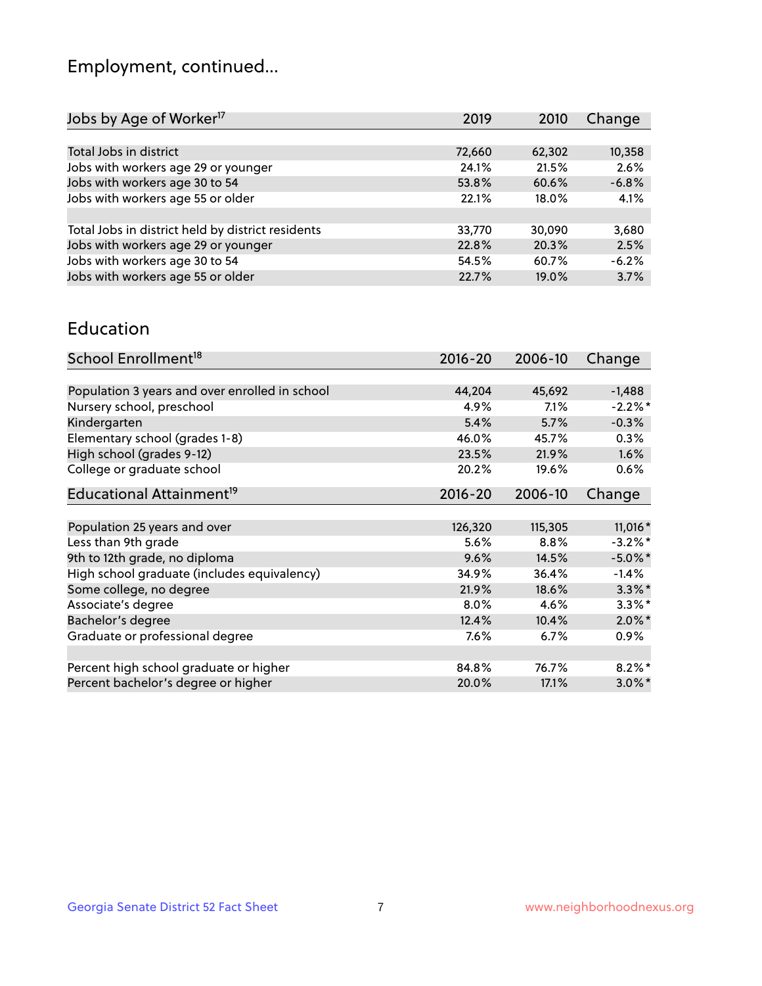## Employment, continued...

| Jobs by Age of Worker <sup>17</sup>               | 2019   | 2010   | Change  |
|---------------------------------------------------|--------|--------|---------|
|                                                   |        |        |         |
| Total Jobs in district                            | 72,660 | 62,302 | 10,358  |
| Jobs with workers age 29 or younger               | 24.1%  | 21.5%  | 2.6%    |
| Jobs with workers age 30 to 54                    | 53.8%  | 60.6%  | $-6.8%$ |
| Jobs with workers age 55 or older                 | 22.1%  | 18.0%  | 4.1%    |
|                                                   |        |        |         |
| Total Jobs in district held by district residents | 33,770 | 30,090 | 3,680   |
| Jobs with workers age 29 or younger               | 22.8%  | 20.3%  | 2.5%    |
| Jobs with workers age 30 to 54                    | 54.5%  | 60.7%  | $-6.2%$ |
| Jobs with workers age 55 or older                 | 22.7%  | 19.0%  | 3.7%    |
|                                                   |        |        |         |

#### Education

| School Enrollment <sup>18</sup>                | $2016 - 20$ | 2006-10 | Change     |
|------------------------------------------------|-------------|---------|------------|
|                                                |             |         |            |
| Population 3 years and over enrolled in school | 44,204      | 45,692  | $-1,488$   |
| Nursery school, preschool                      | 4.9%        | 7.1%    | $-2.2\%$ * |
| Kindergarten                                   | 5.4%        | 5.7%    | $-0.3%$    |
| Elementary school (grades 1-8)                 | 46.0%       | 45.7%   | $0.3\%$    |
| High school (grades 9-12)                      | 23.5%       | 21.9%   | $1.6\%$    |
| College or graduate school                     | 20.2%       | 19.6%   | $0.6\%$    |
| Educational Attainment <sup>19</sup>           | $2016 - 20$ | 2006-10 | Change     |
|                                                |             |         |            |
| Population 25 years and over                   | 126,320     | 115,305 | 11,016 *   |
| Less than 9th grade                            | 5.6%        | $8.8\%$ | $-3.2\%$ * |
| 9th to 12th grade, no diploma                  | 9.6%        | 14.5%   | $-5.0\%$ * |
| High school graduate (includes equivalency)    | 34.9%       | 36.4%   | $-1.4%$    |
| Some college, no degree                        | 21.9%       | 18.6%   | $3.3\%$ *  |
| Associate's degree                             | 8.0%        | 4.6%    | $3.3\%$ *  |
| Bachelor's degree                              | 12.4%       | 10.4%   | $2.0\%$ *  |
| Graduate or professional degree                | 7.6%        | $6.7\%$ | 0.9%       |
|                                                |             |         |            |
| Percent high school graduate or higher         | 84.8%       | 76.7%   | $8.2\%$ *  |
| Percent bachelor's degree or higher            | 20.0%       | 17.1%   | $3.0\%$ *  |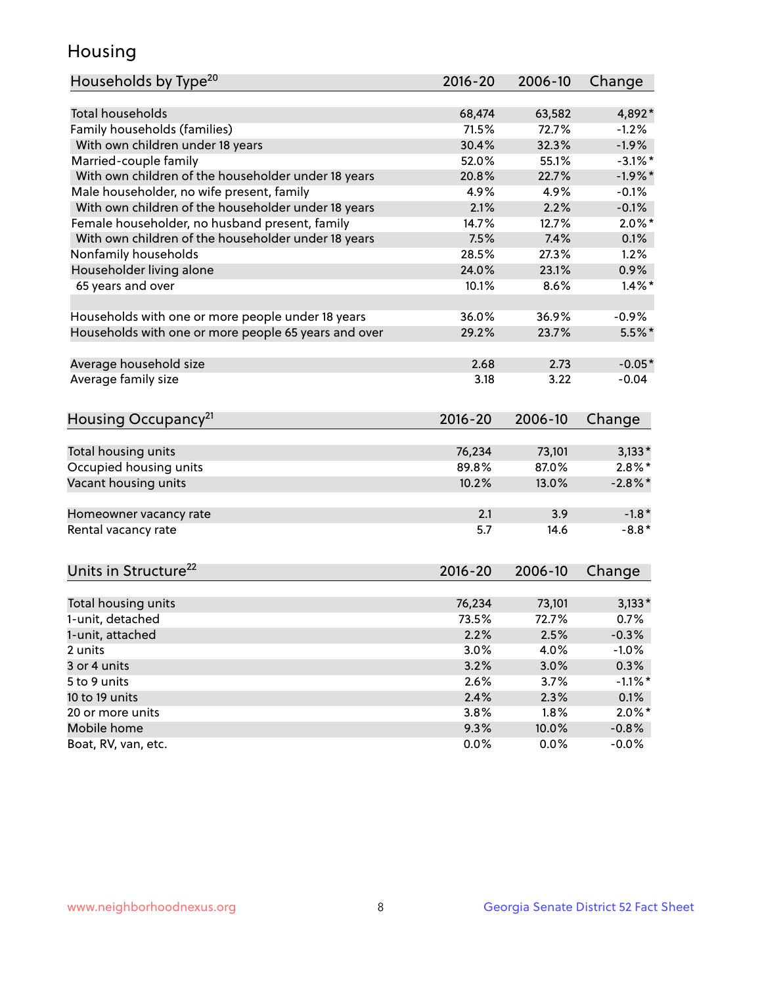## Housing

| Households by Type <sup>20</sup>                     | 2016-20 | 2006-10 | Change     |
|------------------------------------------------------|---------|---------|------------|
|                                                      |         |         |            |
| <b>Total households</b>                              | 68,474  | 63,582  | 4,892*     |
| Family households (families)                         | 71.5%   | 72.7%   | $-1.2%$    |
| With own children under 18 years                     | 30.4%   | 32.3%   | $-1.9%$    |
| Married-couple family                                | 52.0%   | 55.1%   | $-3.1\%$ * |
| With own children of the householder under 18 years  | 20.8%   | 22.7%   | $-1.9%$ *  |
| Male householder, no wife present, family            | 4.9%    | 4.9%    | $-0.1%$    |
| With own children of the householder under 18 years  | 2.1%    | 2.2%    | $-0.1%$    |
| Female householder, no husband present, family       | 14.7%   | 12.7%   | $2.0\%$ *  |
| With own children of the householder under 18 years  | 7.5%    | 7.4%    | 0.1%       |
| Nonfamily households                                 | 28.5%   | 27.3%   | 1.2%       |
| Householder living alone                             | 24.0%   | 23.1%   | 0.9%       |
| 65 years and over                                    | 10.1%   | 8.6%    | $1.4\%$ *  |
|                                                      |         |         |            |
| Households with one or more people under 18 years    | 36.0%   | 36.9%   | $-0.9%$    |
| Households with one or more people 65 years and over | 29.2%   | 23.7%   | 5.5%*      |
| Average household size                               | 2.68    | 2.73    | $-0.05*$   |
| Average family size                                  | 3.18    | 3.22    | $-0.04$    |
|                                                      |         |         |            |
| Housing Occupancy <sup>21</sup>                      | 2016-20 | 2006-10 | Change     |
| Total housing units                                  | 76,234  | 73,101  | $3,133*$   |
| Occupied housing units                               | 89.8%   | 87.0%   | $2.8\%$ *  |
| Vacant housing units                                 | 10.2%   | 13.0%   | $-2.8\%$ * |
|                                                      |         |         |            |
| Homeowner vacancy rate                               | 2.1     | 3.9     | $-1.8*$    |
| Rental vacancy rate                                  | 5.7     | 14.6    | $-8.8*$    |
| Units in Structure <sup>22</sup>                     | 2016-20 | 2006-10 | Change     |
|                                                      |         |         |            |
| Total housing units                                  | 76,234  | 73,101  | $3,133*$   |
| 1-unit, detached                                     | 73.5%   | 72.7%   | 0.7%       |
| 1-unit, attached                                     | 2.2%    | 2.5%    | $-0.3%$    |
| 2 units                                              | 3.0%    | 4.0%    | $-1.0%$    |
| 3 or 4 units                                         | 3.2%    | 3.0%    | 0.3%       |
| 5 to 9 units                                         | 2.6%    | 3.7%    | $-1.1\%$ * |
| 10 to 19 units                                       | 2.4%    | 2.3%    | 0.1%       |
| 20 or more units                                     | 3.8%    | 1.8%    | $2.0\%$ *  |
| Mobile home                                          | 9.3%    | 10.0%   | $-0.8\%$   |
| Boat, RV, van, etc.                                  | 0.0%    | 0.0%    | $-0.0%$    |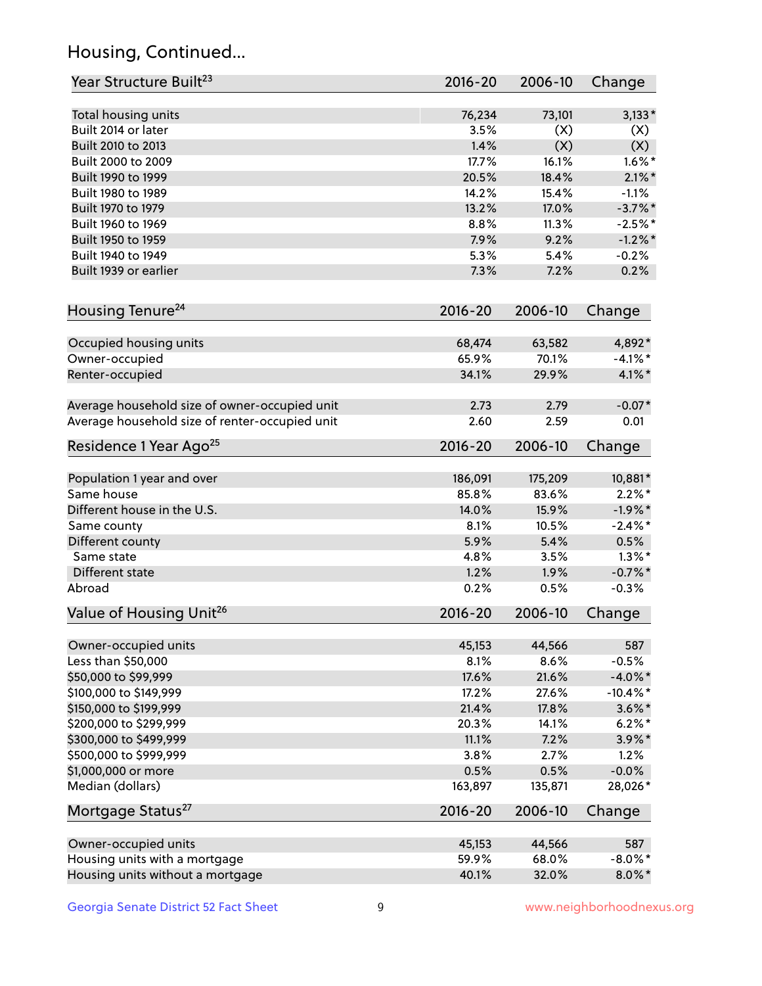## Housing, Continued...

| Year Structure Built <sup>23</sup>             | 2016-20     | 2006-10 | Change      |
|------------------------------------------------|-------------|---------|-------------|
| Total housing units                            | 76,234      | 73,101  | $3,133*$    |
| Built 2014 or later                            | 3.5%        | (X)     | (X)         |
| Built 2010 to 2013                             | 1.4%        | (X)     | (X)         |
| Built 2000 to 2009                             | 17.7%       | 16.1%   | $1.6\%$ *   |
| Built 1990 to 1999                             | 20.5%       | 18.4%   | $2.1\%$ *   |
| Built 1980 to 1989                             | 14.2%       | 15.4%   | $-1.1%$     |
| Built 1970 to 1979                             | 13.2%       | 17.0%   | $-3.7\%$ *  |
| Built 1960 to 1969                             | 8.8%        | 11.3%   | $-2.5%$ *   |
| Built 1950 to 1959                             | 7.9%        | 9.2%    | $-1.2\%$ *  |
| Built 1940 to 1949                             | 5.3%        | 5.4%    | $-0.2%$     |
| Built 1939 or earlier                          | 7.3%        | 7.2%    | 0.2%        |
| Housing Tenure <sup>24</sup>                   | $2016 - 20$ | 2006-10 | Change      |
| Occupied housing units                         | 68,474      | 63,582  | 4,892*      |
| Owner-occupied                                 | 65.9%       | 70.1%   | $-4.1\%$ *  |
| Renter-occupied                                | 34.1%       | 29.9%   | $4.1\%$ *   |
| Average household size of owner-occupied unit  | 2.73        | 2.79    | $-0.07*$    |
| Average household size of renter-occupied unit | 2.60        | 2.59    | 0.01        |
| Residence 1 Year Ago <sup>25</sup>             | $2016 - 20$ | 2006-10 | Change      |
| Population 1 year and over                     | 186,091     | 175,209 | 10,881*     |
| Same house                                     | 85.8%       | 83.6%   | $2.2\%$ *   |
| Different house in the U.S.                    | 14.0%       | 15.9%   | $-1.9%$ *   |
| Same county                                    | 8.1%        | 10.5%   | $-2.4\%$ *  |
| Different county                               | 5.9%        | 5.4%    | 0.5%        |
| Same state                                     | 4.8%        | 3.5%    | $1.3\%$ *   |
| Different state                                | 1.2%        | 1.9%    | $-0.7\%$ *  |
| Abroad                                         | 0.2%        | 0.5%    | $-0.3%$     |
| Value of Housing Unit <sup>26</sup>            | 2016-20     | 2006-10 | Change      |
| Owner-occupied units                           | 45,153      | 44,566  | 587         |
| Less than \$50,000                             | 8.1%        | 8.6%    | $-0.5%$     |
| \$50,000 to \$99,999                           | 17.6%       | 21.6%   | $-4.0\%$ *  |
| \$100,000 to \$149,999                         | 17.2%       | 27.6%   | $-10.4\%$ * |
| \$150,000 to \$199,999                         | 21.4%       | 17.8%   | $3.6\%$ *   |
| \$200,000 to \$299,999                         | 20.3%       | 14.1%   | $6.2\%$ *   |
| \$300,000 to \$499,999                         | 11.1%       | 7.2%    | $3.9\%$ *   |
| \$500,000 to \$999,999                         | 3.8%        | 2.7%    | 1.2%        |
| \$1,000,000 or more                            | 0.5%        | 0.5%    | $-0.0%$     |
| Median (dollars)                               | 163,897     | 135,871 | 28,026*     |
| Mortgage Status <sup>27</sup>                  | $2016 - 20$ | 2006-10 | Change      |
| Owner-occupied units                           | 45,153      | 44,566  | 587         |
| Housing units with a mortgage                  | 59.9%       | 68.0%   | $-8.0\%$ *  |
| Housing units without a mortgage               | 40.1%       | 32.0%   | $8.0\%$ *   |
|                                                |             |         |             |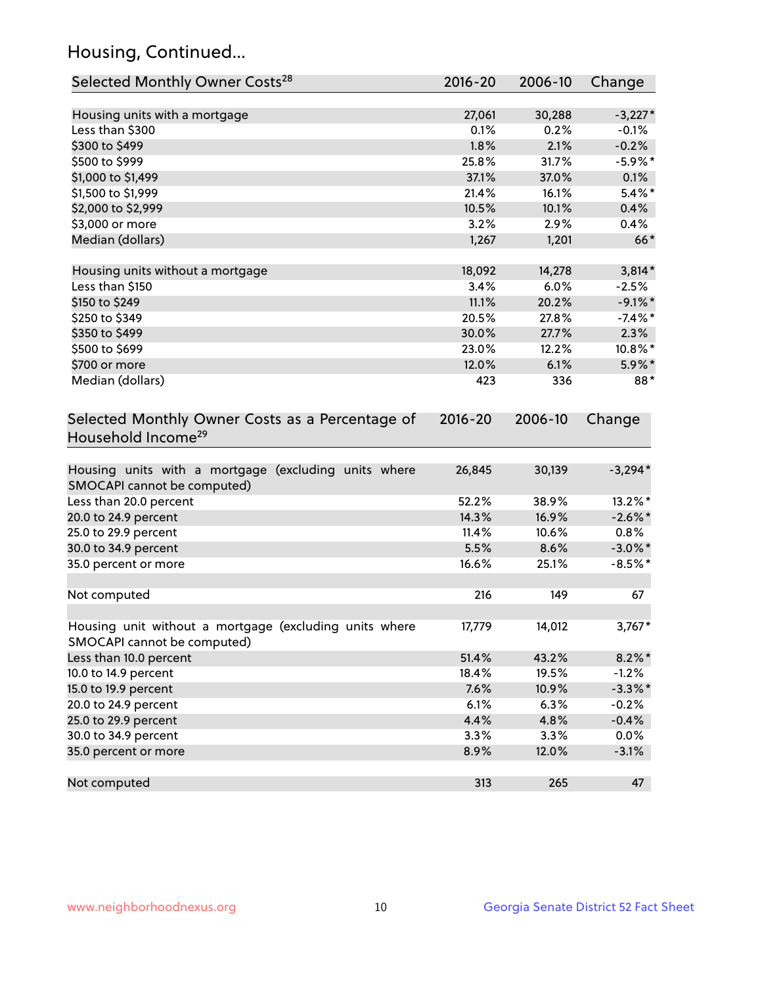## Housing, Continued...

| Selected Monthly Owner Costs <sup>28</sup>                                            | 2016-20     | 2006-10 | Change     |
|---------------------------------------------------------------------------------------|-------------|---------|------------|
| Housing units with a mortgage                                                         | 27,061      | 30,288  | $-3,227*$  |
| Less than \$300                                                                       | 0.1%        | 0.2%    | $-0.1%$    |
| \$300 to \$499                                                                        | 1.8%        | 2.1%    | $-0.2%$    |
| \$500 to \$999                                                                        | 25.8%       | 31.7%   | $-5.9\%$ * |
| \$1,000 to \$1,499                                                                    | 37.1%       | 37.0%   | 0.1%       |
| \$1,500 to \$1,999                                                                    | 21.4%       | 16.1%   | $5.4\%$ *  |
| \$2,000 to \$2,999                                                                    | 10.5%       | 10.1%   | 0.4%       |
| \$3,000 or more                                                                       | 3.2%        | 2.9%    | 0.4%       |
| Median (dollars)                                                                      | 1,267       | 1,201   | $66*$      |
| Housing units without a mortgage                                                      | 18,092      | 14,278  | $3,814*$   |
| Less than \$150                                                                       | 3.4%        | 6.0%    | $-2.5%$    |
| \$150 to \$249                                                                        | 11.1%       | 20.2%   | $-9.1\%$ * |
| \$250 to \$349                                                                        | 20.5%       | 27.8%   | $-7.4%$ *  |
| \$350 to \$499                                                                        | 30.0%       | 27.7%   | 2.3%       |
| \$500 to \$699                                                                        | 23.0%       | 12.2%   | 10.8%*     |
| \$700 or more                                                                         | 12.0%       | 6.1%    | 5.9%*      |
| Median (dollars)                                                                      | 423         | 336     | 88*        |
| Selected Monthly Owner Costs as a Percentage of<br>Household Income <sup>29</sup>     | $2016 - 20$ | 2006-10 | Change     |
| Housing units with a mortgage (excluding units where<br>SMOCAPI cannot be computed)   | 26,845      | 30,139  | $-3,294*$  |
| Less than 20.0 percent                                                                | 52.2%       | 38.9%   | 13.2%*     |
| 20.0 to 24.9 percent                                                                  | 14.3%       | 16.9%   | $-2.6\%$ * |
| 25.0 to 29.9 percent                                                                  | 11.4%       | 10.6%   | 0.8%       |
| 30.0 to 34.9 percent                                                                  | 5.5%        | 8.6%    | $-3.0\%$ * |
| 35.0 percent or more                                                                  | 16.6%       | 25.1%   | $-8.5%$ *  |
| Not computed                                                                          | 216         | 149     | 67         |
| Housing unit without a mortgage (excluding units where<br>SMOCAPI cannot be computed) | 17,779      | 14,012  | $3,767*$   |
| Less than 10.0 percent                                                                | 51.4%       | 43.2%   | $8.2\%$ *  |
| 10.0 to 14.9 percent                                                                  | 18.4%       | 19.5%   | $-1.2%$    |
| 15.0 to 19.9 percent                                                                  | 7.6%        | 10.9%   | $-3.3\%$ * |
| 20.0 to 24.9 percent                                                                  | 6.1%        | 6.3%    | $-0.2%$    |
| 25.0 to 29.9 percent                                                                  | 4.4%        | 4.8%    | $-0.4%$    |
| 30.0 to 34.9 percent                                                                  | 3.3%        | 3.3%    | 0.0%       |
| 35.0 percent or more                                                                  | 8.9%        | 12.0%   | $-3.1%$    |
| Not computed                                                                          | 313         | 265     | 47         |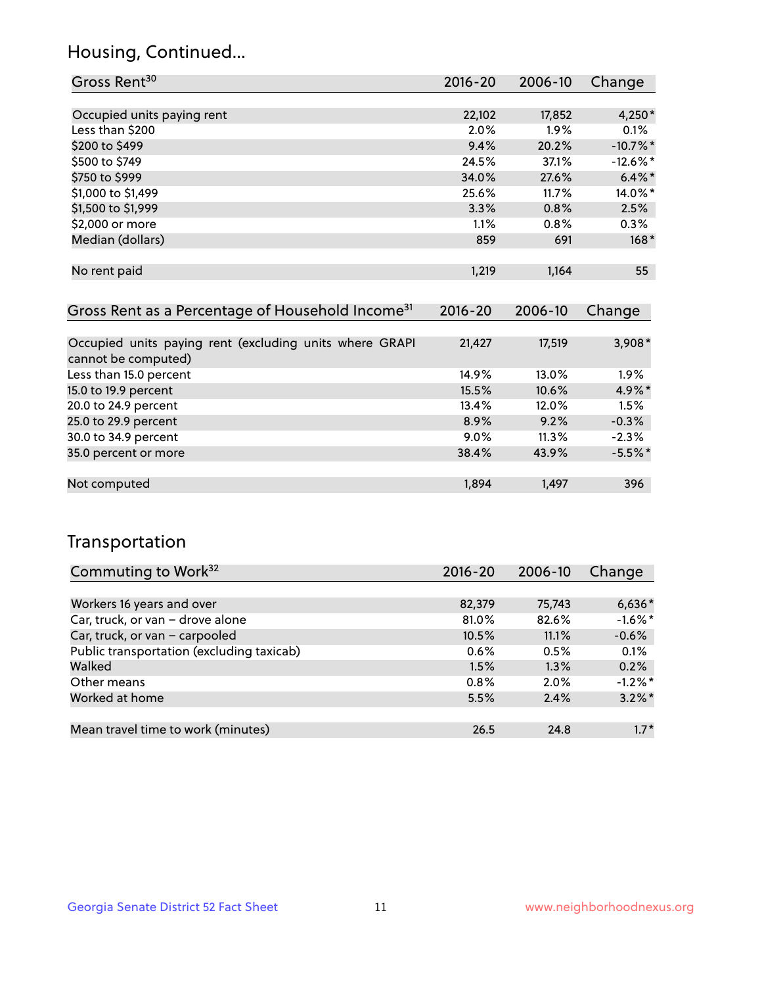## Housing, Continued...

| Gross Rent <sup>30</sup>                                     | 2016-20     | 2006-10 | Change      |
|--------------------------------------------------------------|-------------|---------|-------------|
|                                                              |             |         |             |
| Occupied units paying rent                                   | 22,102      | 17,852  | $4,250*$    |
| Less than \$200                                              | 2.0%        | $1.9\%$ | $0.1\%$     |
| \$200 to \$499                                               | 9.4%        | 20.2%   | $-10.7%$ *  |
| \$500 to \$749                                               | 24.5%       | 37.1%   | $-12.6\%$ * |
| \$750 to \$999                                               | 34.0%       | 27.6%   | $6.4\%$ *   |
| \$1,000 to \$1,499                                           | 25.6%       | 11.7%   | 14.0%*      |
| \$1,500 to \$1,999                                           | 3.3%        | 0.8%    | 2.5%        |
| \$2,000 or more                                              | 1.1%        | 0.8%    | 0.3%        |
| Median (dollars)                                             | 859         | 691     | $168*$      |
|                                                              |             |         |             |
| No rent paid                                                 | 1,219       | 1,164   | 55          |
|                                                              |             |         |             |
| Gross Rent as a Percentage of Household Income <sup>31</sup> | $2016 - 20$ | 2006-10 | Change      |

| Occupied units paying rent (excluding units where GRAPI | 21,427  | 17,519   | $3,908*$  |
|---------------------------------------------------------|---------|----------|-----------|
| cannot be computed)                                     |         |          |           |
| Less than 15.0 percent                                  | 14.9%   | $13.0\%$ | $1.9\%$   |
| 15.0 to 19.9 percent                                    | 15.5%   | 10.6%    | 4.9%*     |
| 20.0 to 24.9 percent                                    | 13.4%   | 12.0%    | 1.5%      |
| 25.0 to 29.9 percent                                    | 8.9%    | 9.2%     | $-0.3%$   |
| 30.0 to 34.9 percent                                    | $9.0\%$ | 11.3%    | $-2.3%$   |
| 35.0 percent or more                                    | 38.4%   | 43.9%    | $-5.5%$ * |
|                                                         |         |          |           |
| Not computed                                            | 1.894   | 1.497    | 396       |

## Transportation

| Commuting to Work <sup>32</sup>           | 2016-20 | 2006-10 | Change     |
|-------------------------------------------|---------|---------|------------|
|                                           |         |         |            |
| Workers 16 years and over                 | 82,379  | 75,743  | $6,636*$   |
| Car, truck, or van - drove alone          | 81.0%   | 82.6%   | $-1.6\%$ * |
| Car, truck, or van - carpooled            | 10.5%   | 11.1%   | $-0.6%$    |
| Public transportation (excluding taxicab) | 0.6%    | 0.5%    | 0.1%       |
| Walked                                    | 1.5%    | 1.3%    | 0.2%       |
| Other means                               | 0.8%    | $2.0\%$ | $-1.2\%$ * |
| Worked at home                            | 5.5%    | 2.4%    | $3.2\%$ *  |
|                                           |         |         |            |
| Mean travel time to work (minutes)        | 26.5    | 24.8    | $1.7*$     |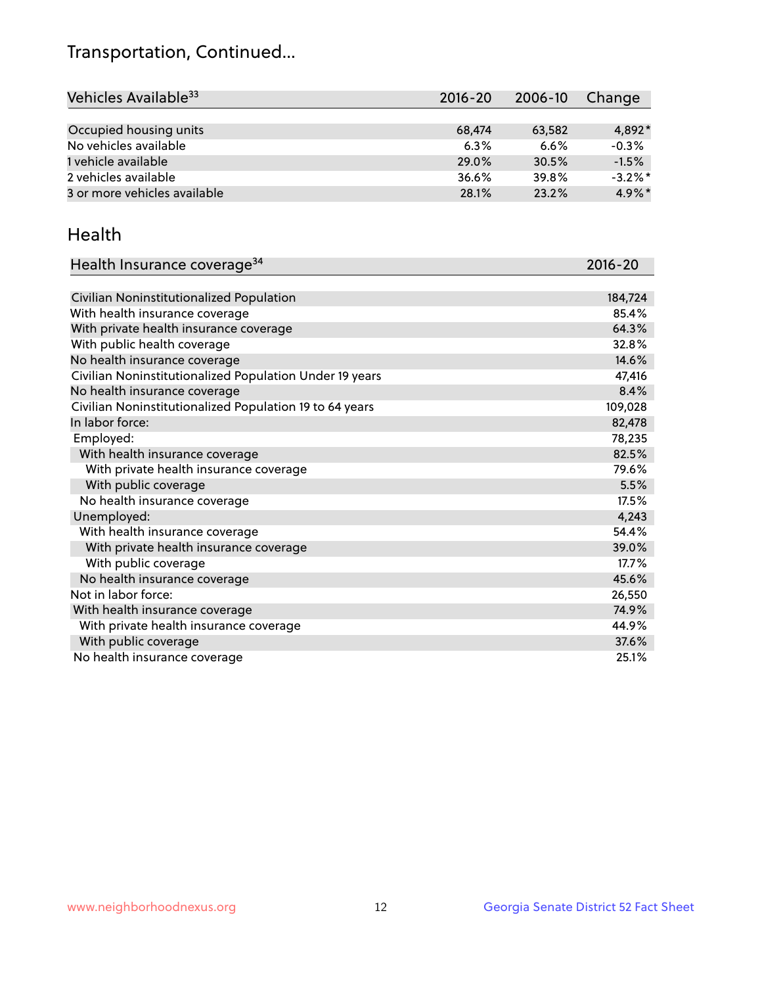## Transportation, Continued...

| Vehicles Available <sup>33</sup> | $2016 - 20$ | 2006-10 | Change     |
|----------------------------------|-------------|---------|------------|
|                                  |             |         |            |
| Occupied housing units           | 68,474      | 63,582  | $4.892*$   |
| No vehicles available            | 6.3%        | 6.6%    | $-0.3%$    |
| 1 vehicle available              | 29.0%       | 30.5%   | $-1.5%$    |
| 2 vehicles available             | 36.6%       | 39.8%   | $-3.2\%$ * |
| 3 or more vehicles available     | 28.1%       | 23.2%   | $4.9\%$ *  |

#### Health

| Health Insurance coverage <sup>34</sup>                 | 2016-20 |
|---------------------------------------------------------|---------|
|                                                         |         |
| Civilian Noninstitutionalized Population                | 184,724 |
| With health insurance coverage                          | 85.4%   |
| With private health insurance coverage                  | 64.3%   |
| With public health coverage                             | 32.8%   |
| No health insurance coverage                            | 14.6%   |
| Civilian Noninstitutionalized Population Under 19 years | 47,416  |
| No health insurance coverage                            | 8.4%    |
| Civilian Noninstitutionalized Population 19 to 64 years | 109,028 |
| In labor force:                                         | 82,478  |
| Employed:                                               | 78,235  |
| With health insurance coverage                          | 82.5%   |
| With private health insurance coverage                  | 79.6%   |
| With public coverage                                    | 5.5%    |
| No health insurance coverage                            | 17.5%   |
| Unemployed:                                             | 4,243   |
| With health insurance coverage                          | 54.4%   |
| With private health insurance coverage                  | 39.0%   |
| With public coverage                                    | 17.7%   |
| No health insurance coverage                            | 45.6%   |
| Not in labor force:                                     | 26,550  |
| With health insurance coverage                          | 74.9%   |
| With private health insurance coverage                  | 44.9%   |
| With public coverage                                    | 37.6%   |
| No health insurance coverage                            | 25.1%   |